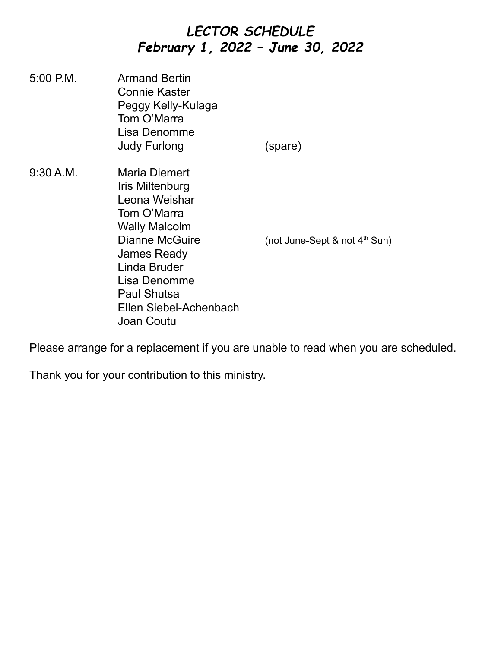## *LECTOR SCHEDULE February 1, 2022 – June 30, 2022*

5:00 P.M. Armand Bertin Connie Kaster Peggy Kelly-Kulaga Tom O'Marra Lisa Denomme Judy Furlong (spare) 9:30 A.M. Maria Diemert Iris Miltenburg Leona Weishar Tom O'Marra Wally Malcolm Dianne McGuire (not June-Sept & not 4<sup>th</sup> Sun) James Ready Linda Bruder Lisa Denomme Paul Shutsa Ellen Siebel-Achenbach Joan Coutu

Please arrange for a replacement if you are unable to read when you are scheduled.

Thank you for your contribution to this ministry.